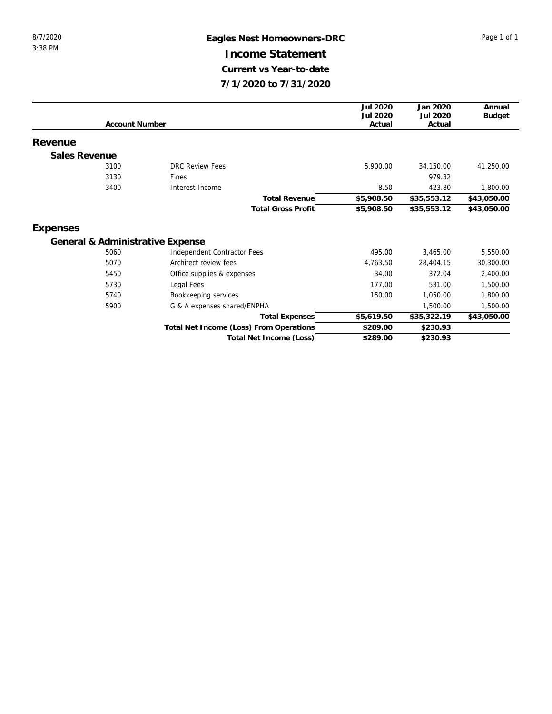## 8/7/2020 **Eagles Nest Homeowners-DRC** Page 1 of 1 **Income Statement Current vs Year-to-date 7/1/2020 to 7/31/2020**

|               |                       |                                         | Jul 2020   | Jan 2020    | Annual        |
|---------------|-----------------------|-----------------------------------------|------------|-------------|---------------|
|               |                       |                                         | Jul 2020   | Jul 2020    | <b>Budget</b> |
|               | <b>Account Number</b> |                                         | Actual     | Actual      |               |
| Revenue       |                       |                                         |            |             |               |
| Sales Revenue |                       |                                         |            |             |               |
|               | 3100                  | <b>DRC Review Fees</b>                  | 5,900.00   | 34,150.00   | 41,250.00     |
|               | 3130                  | Fines                                   |            | 979.32      |               |
|               | 3400                  | Interest Income                         | 8.50       | 423.80      | 1,800.00      |
|               |                       | <b>Total Revenue</b>                    | \$5,908.50 | \$35,553.12 | \$43,050.00   |
|               |                       | <b>Total Gross Profit</b>               | \$5,908.50 | \$35,553.12 | \$43,050.00   |
| Expenses      |                       |                                         |            |             |               |
|               |                       | General & Administrative Expense        |            |             |               |
|               | 5060                  | Independent Contractor Fees             | 495.00     | 3,465.00    | 5,550.00      |
|               | 5070                  | Architect review fees                   | 4,763.50   | 28,404.15   | 30,300.00     |
|               | 5450                  | Office supplies & expenses              | 34.00      | 372.04      | 2,400.00      |
|               | 5730                  | Legal Fees                              | 177.00     | 531.00      | 1,500.00      |
|               | 5740                  | Bookkeeping services                    | 150.00     | 1,050.00    | 1,800.00      |
|               | 5900                  | G & A expenses shared/ENPHA             |            | 1,500.00    | 1,500.00      |
|               |                       | <b>Total Expenses</b>                   | \$5,619.50 | \$35,322.19 | \$43,050.00   |
|               |                       | Total Net Income (Loss) From Operations | \$289.00   | \$230.93    |               |
|               |                       | Total Net Income (Loss)                 | \$289.00   | \$230.93    |               |